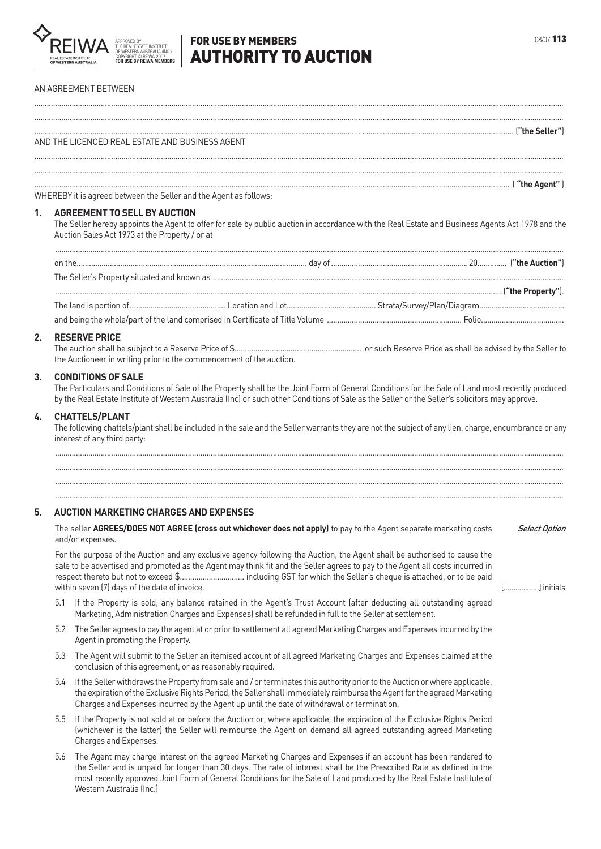

...............................................................................................................................................................................................................................................................

# **FOR USE BY MEMBERS CONSUMING A REPORT OF A REPORT OF A REPORT OF A REPORT OF A REPORT OF A REPORT OF A REPORT OF A REPORT OF A REPORT OF A REPORT OF A REPORT OF A REPORT OF A REPORT OF A REPORT OF A REPORT OF A REPORT O** AUTHORITY TO AUCTION

#### AN AGREEMENT BETWEEN

............................................................................................................................................................................................................................................................... ("the Seller") المستخدم المستخدم المستخدم المستخدم المستخدم المستخدم المستخدم المستخدم المستخدم المستخدم المستخدم ال AND THE LICENCED REAL ESTATE AND BUSINESS AGENT  $\frac{1}{2}$  . The contract of the contract of the contract of the contract of the contract of the contract of the contract of the contract of the contract of the contract of the contract of the contract of the contract of t  $($  "the  $\Delta$ gent"  $)$ WHEREBY it is agreed between the Seller and the Agent as follows: **1. AGREEMENT TO SELL BY AUCTION** The Seller hereby appoints the Agent to offer for sale by public auction in accordance with the Real Estate and Business Agents Act 1978 and the Auction Sales Act 1973 at the Property / or at on the............................................................................................................... day of..................................................................20.............. (**"the Auction"**) The Seller's Property situated and known as ......................................................................................................................................................................... ........................................................................................................................................................................................................................(**"the Property"**). The land is portion of.............................................. Location and Lot........................................... Strata/Survey/Plan/Diagram......................................... and being the whole/part of the land comprised in Certificate of Title Volume ................................................................. Folio........................................ **2. RESERVE PRICE** The auction shall be subject to a Reserve Price of \$............................................................. or such Reserve Price as shall be advised by the Seller to the Auctioneer in writing prior to the commencement of the auction. **3. CONDITIONS OF SALE** The Particulars and Conditions of Sale of the Property shall be the Joint Form of General Conditions for the Sale of Land most recently produced by the Real Estate Institute of Western Australia (Inc) or such other Conditions of Sale as the Seller or the Seller's solicitors may approve. **4. CHATTELS/PLANT** The following chattels/plant shall be included in the sale and the Seller warrants they are not the subject of any lien, charge, encumbrance or any interest of any third party: ..................................................................................................................................................................................................................................................... ..................................................................................................................................................................................................................................................... ..................................................................................................................................................................................................................................................... ..................................................................................................................................................................................................................................................... **5. AUCTION MARKETING CHARGES AND EXPENSES** The seller **AGREES/DOES NOT AGREE (cross out whichever does not apply)** to pay to the Agent separate marketing costs and/or expenses. Select Option For the purpose of the Auction and any exclusive agency following the Auction, the Agent shall be authorised to cause the sale to be advertised and promoted as the Agent may think fit and the Seller agrees to pay to the Agent all costs incurred in respect thereto but not to exceed \$............................... including GST for which the Seller's cheque is attached, or to be paid within seven (7) days of the date of invoice. [..................] initials 5.1 If the Property is sold, any balance retained in the Agent's Trust Account (after deducting all outstanding agreed Marketing, Administration Charges and Expenses) shall be refunded in full to the Seller at settlement. 5.2 The Seller agrees to pay the agent at or prior to settlement all agreed Marketing Charges and Expenses incurred by the Agent in promoting the Property. 5.3 The Agent will submit to the Seller an itemised account of all agreed Marketing Charges and Expenses claimed at the conclusion of this agreement, or as reasonably required. 5.4 If the Seller withdraws the Property from sale and / or terminates this authority prior to the Auction or where applicable, the expiration of the Exclusive Rights Period, the Seller shall immediately reimburse the Agent for the agreed Marketing Charges and Expenses incurred by the Agent up until the date of withdrawal or termination.

- 5.5 If the Property is not sold at or before the Auction or, where applicable, the expiration of the Exclusive Rights Period (whichever is the latter) the Seller will reimburse the Agent on demand all agreed outstanding agreed Marketing Charges and Expenses.
- 5.6 The Agent may charge interest on the agreed Marketing Charges and Expenses if an account has been rendered to the Seller and is unpaid for longer than 30 days. The rate of interest shall be the Prescribed Rate as defined in the most recently approved Joint Form of General Conditions for the Sale of Land produced by the Real Estate Institute of Western Australia (Inc.)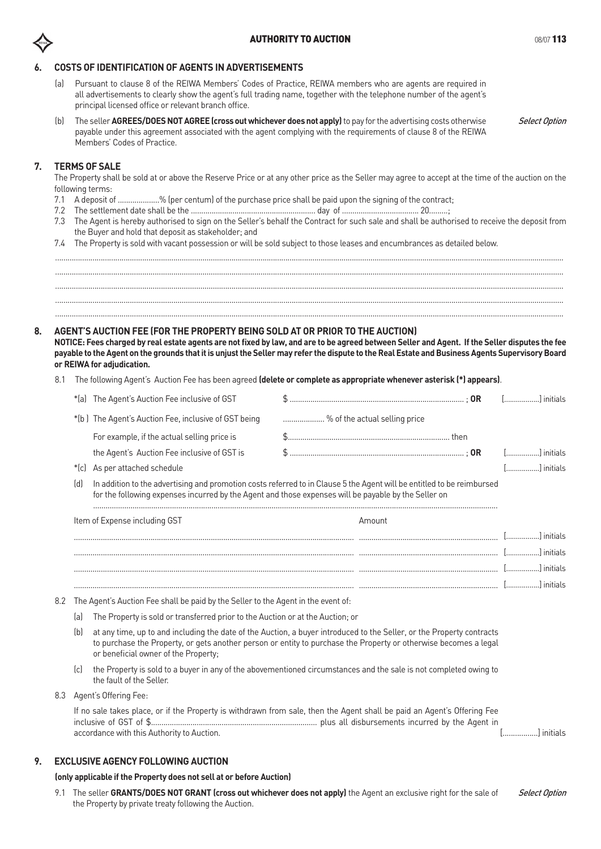# **6. COSTS OF IDENTIFICATION OF AGENTS IN ADVERTISEMENTS**

- Pursuant to clause 8 of the REIWA Members' Codes of Practice, REIWA members who are agents are required in all advertisements to clearly show the agent's full trading name, together with the telephone number of the agent's principal licensed office or relevant branch office.
- (b) The seller **AGREES/DOES NOT AGREE (cross out whichever does not apply)** to pay for the advertising costs otherwise payable under this agreement associated with the agent complying with the requirements of clause 8 of the REIWA Members' Codes of Practice. Select Option

# **7. TERMS OF SALE**

The Property shall be sold at or above the Reserve Price or at any other price as the Seller may agree to accept at the time of the auction on the following terms:

- 7.1 A deposit of ....................% (per centum) of the purchase price shall be paid upon the signing of the contract;
- 7.2 The settlement date shall be the ............................................................ day of ..................................... 20.........;
- 7.3 The Agent is hereby authorised to sign on the Seller's behalf the Contract for such sale and shall be authorised to receive the deposit from the Buyer and hold that deposit as stakeholder; and
- 7.4 The Property is sold with vacant possession or will be sold subject to those leases and encumbrances as detailed below.

..................................................................................................................................................................................................................................................... ..................................................................................................................................................................................................................................................... ..................................................................................................................................................................................................................................................... .....................................................................................................................................................................................................................................................

.....................................................................................................................................................................................................................................................

# **8. AGENT'S AUCTION FEE (FOR THE PROPERTY BEING SOLD AT OR PRIOR TO THE AUCTION)**

**NOTICE: Fees charged by real estate agents are not fixed by law, and are to be agreed between Seller and Agent. If the Seller disputes the fee payable to the Agent on the grounds that it is unjust the Seller may refer the dispute to the Real Estate and Business Agents Supervisory Board or REIWA for adjudication.**

8.1 The following Agent's Auction Fee has been agreed **(delete or complete as appropriate whenever asterisk (\*) appears)**.

| *(a) The Agent's Auction Fee inclusive of GST        |                                                                                                                           | [] initials |  |
|------------------------------------------------------|---------------------------------------------------------------------------------------------------------------------------|-------------|--|
| *(b) The Agent's Auction Fee, inclusive of GST being | % of the actual selling price                                                                                             |             |  |
| For example, if the actual selling price is          |                                                                                                                           |             |  |
| the Agent's Auction Fee inclusive of GST is          |                                                                                                                           | [] initials |  |
| *(c) As per attached schedule                        |                                                                                                                           | [] initials |  |
|                                                      | (d) In addition to the advertising and premation sects referred to in Clause Ethe Agent will be entitled to be reimbursed |             |  |

(d) In addition to the advertising and promotion costs referred to in Clause 5 the Agent will be entitled to be reimbursed for the following expenses incurred by the Agent and those expenses will be payable by the Seller on

| Item of Expense including GST | Amount                 |
|-------------------------------|------------------------|
|                               | <u>Lessessessesses</u> |
|                               | .                      |
|                               | .                      |
|                               |                        |

- 8.2 The Agent's Auction Fee shall be paid by the Seller to the Agent in the event of:
	- (a) The Property is sold or transferred prior to the Auction or at the Auction; or
	- (b) at any time, up to and including the date of the Auction, a buyer introduced to the Seller, or the Property contracts to purchase the Property, or gets another person or entity to purchase the Property or otherwise becomes a legal or beneficial owner of the Property;
	- (c) the Property is sold to a buyer in any of the abovementioned circumstances and the sale is not completed owing to the fault of the Seller.
- 8.3 Agent's Offering Fee:

If no sale takes place, or if the Property is withdrawn from sale, then the Agent shall be paid an Agent's Offering Fee inclusive of GST of \$................................................................................ plus all disbursements incurred by the Agent in accordance with this Authority to Auction. [.................] initials

# **9. EXCLUSIVE AGENCY FOLLOWING AUCTION**

# **(only applicable if the Property does not sell at or before Auction)**

9.1 The seller **GRANTS/DOES NOT GRANT (cross out whichever does not apply)** the Agent an exclusive right for the sale of the Property by private treaty following the Auction. Select Option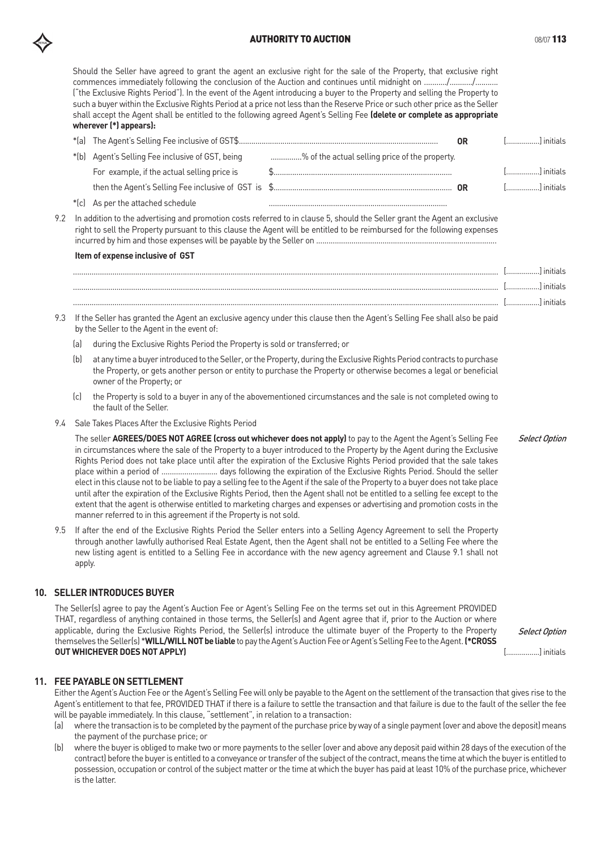# **AUTHORITY TO AUCTION CONSUMING A SET AND ACCOUNT A CONSUMING A SET ALCOHOLY 113**

Should the Seller have agreed to grant the agent an exclusive right for the sale of the Property, that exclusive right commences immediately following the conclusion of the Auction and continues until midnight on .........../.........../........... ("the Exclusive Rights Period"). In the event of the Agent introducing a buyer to the Property and selling the Property to such a buyer within the Exclusive Rights Period at a price not less than the Reserve Price or such other price as the Seller shall accept the Agent shall be entitled to the following agreed Agent's Selling Fee **(delete or complete as appropriate wherever (\*) appears):**

|                                                  |                                                | OR | [] initials |
|--------------------------------------------------|------------------------------------------------|----|-------------|
| *(b) Agent's Selling Fee inclusive of GST, being | % of the actual selling price of the property. |    |             |
| For example, if the actual selling price is      |                                                |    | [] initials |
|                                                  |                                                | 0R | [] initials |
| *(c) As per the attached schedule                |                                                |    |             |

9.2 In addition to the advertising and promotion costs referred to in clause 5, should the Seller grant the Agent an exclusive right to sell the Property pursuant to this clause the Agent will be entitled to be reimbursed for the following expenses incurred by him and those expenses will be payable by the Seller on .......................................................................................

#### **Item of expense inclusive of GST**

|  | . |            |
|--|---|------------|
|  | . | 1 initials |
|  | . | l initiale |
|  |   |            |

- 9.3 If the Seller has granted the Agent an exclusive agency under this clause then the Agent's Selling Fee shall also be paid by the Seller to the Agent in the event of:
	- (a) during the Exclusive Rights Period the Property is sold or transferred; or
	- (b) at any time a buyer introduced to the Seller, or the Property, during the Exclusive Rights Period contracts to purchase the Property, or gets another person or entity to purchase the Property or otherwise becomes a legal or beneficial owner of the Property; or
	- (c) the Property is sold to a buyer in any of the abovementioned circumstances and the sale is not completed owing to the fault of the Seller.
- 9.4 Sale Takes Places After the Exclusive Rights Period

The seller **AGREES/DOES NOT AGREE (cross out whichever does not apply)** to pay to the Agent the Agent's Selling Fee in circumstances where the sale of the Property to a buyer introduced to the Property by the Agent during the Exclusive Rights Period does not take place until after the expiration of the Exclusive Rights Period provided that the sale takes place within a period of ........................... days following the expiration of the Exclusive Rights Period. Should the seller elect in this clause not to be liable to pay a selling fee to the Agent if the sale of the Property to a buyer does not take place until after the expiration of the Exclusive Rights Period, then the Agent shall not be entitled to a selling fee except to the extent that the agent is otherwise entitled to marketing charges and expenses or advertising and promotion costs in the manner referred to in this agreement if the Property is not sold.

9.5 If after the end of the Exclusive Rights Period the Seller enters into a Selling Agency Agreement to sell the Property through another lawfully authorised Real Estate Agent, then the Agent shall not be entitled to a Selling Fee where the new listing agent is entitled to a Selling Fee in accordance with the new agency agreement and Clause 9.1 shall not apply.

# **10. SELLER INTRODUCES BUYER**

The Seller(s) agree to pay the Agent's Auction Fee or Agent's Selling Fee on the terms set out in this Agreement PROVIDED THAT, regardless of anything contained in those terms, the Seller(s) and Agent agree that if, prior to the Auction or where applicable, during the Exclusive Rights Period, the Seller(s) introduce the ultimate buyer of the Property to the Property themselves the Seller(s) \***WILL/WILL NOT be liable** to pay the Agent's Auction Fee or Agent's Selling Fee to the Agent. (\*CROSS **OUT WHICHEVER DOES NOT APPLY)**

Select Option

Select Option

[.................] initials

# **11. FEE PAYABLE ON SETTLEMENT**

Either the Agent's Auction Fee or the Agent's Selling Fee will only be payable to the Agent on the settlement of the transaction that gives rise to the Agent's entitlement to that fee, PROVIDED THAT if there is a failure to settle the transaction and that failure is due to the fault of the seller the fee will be payable immediately. In this clause, "settlement", in relation to a transaction:

- (a) where the transaction is to be completed by the payment of the purchase price by way of a single payment (over and above the deposit) means the payment of the purchase price; or
- (b) where the buyer is obliged to make two or more payments to the seller (over and above any deposit paid within 28 days of the execution of the contract) before the buyer is entitled to a conveyance or transfer of the subject of the contract, means the time at which the buyer is entitled to possession, occupation or control of the subject matter or the time at which the buyer has paid at least 10% of the purchase price, whichever is the latter.